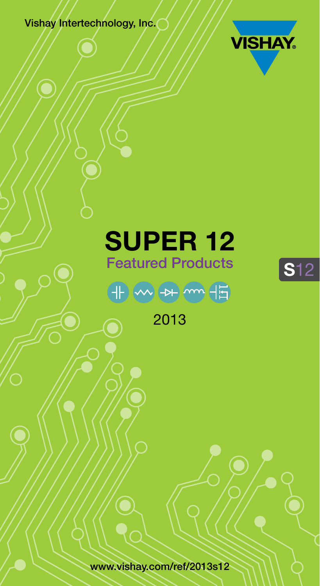Vishay Intertechnology, Inc.



**S**12

## **SUPER 12** Featured Products



2013

[www.vishay.com/ref/2013s12](http://www.vishay.com/ref/2013s12)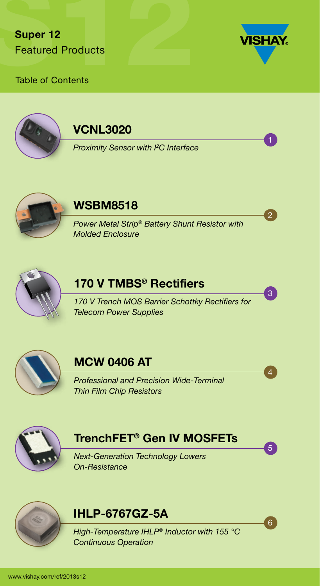

6

5

4

3

2

1

#### Table of Contents



#### VCNL3020

*[Proximity Sensor with I2](#page-3-0) C Interface*



#### WSBM8518

*[Power Metal Strip® Battery Shunt Resistor with](#page-4-0)  Molded Enclosure*



### 170 V TMBS<sup>®</sup> Rectifiers

*[170 V Trench MOS Barrier Schottky Rectifiers for](#page-5-0)  Telecom Power Supplies*



#### MCW 0406 AT

*[Professional and Precision Wide-Terminal](#page-6-0) Thin Film Chip Resistors*



### [TrenchFET® Gen IV MOSFETs](#page-7-0)

*Next-Generation Technology Lowers On-Resistance*



#### IHLP-6767GZ-5A

*[High-Temperature IHLP® Inductor with 155 °C](#page-8-0)  Continuous Operation*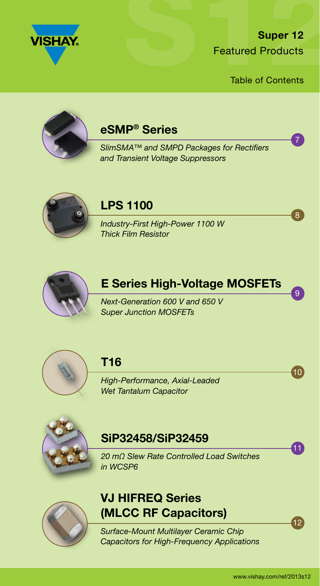

Table of Contents



#### eSMP® Series

*[SlimSMA™ and SMPD Packages for Rectifiers](#page-9-0)  and Transient Voltage Suppressors*



#### LPS 1100

*[Industry-First High-Power 1100 W](#page-10-0) Thick Film Resistor*



#### [E Series High-Voltage MOSFETs](#page-11-0)

*Next-Generation 600 V and 650 V Super Junction MOSFETs*



#### T16

*[High-Performance, Axial-Leaded](#page-12-0) Wet Tantalum Capacitor*



#### SiP32458/SiP32459

*[20 mΩ Slew Rate Controlled Load Switches](#page-13-0) in WCSP6*



#### VJ HIFREQ Series [\(MLCC RF Capacitors\)](#page-14-0)

*Surface-Mount Multilayer Ceramic Chip Capacitors for High-Frequency Applications*  $12<sup>1</sup>$ 

11

 $10<sub>l</sub>$ 

9

8

7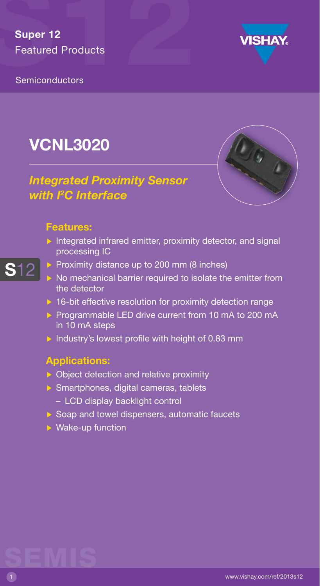

<span id="page-3-0"></span>**Semiconductors** 

## VCNL3020



#### *Integrated Proximity Sensor with I2 C Interface*

#### Features:

S12

- $\triangleright$  Integrated infrared emitter, proximity detector, and signal processing IC
- Proximity distance up to 200 mm (8 inches)
- $\triangleright$  No mechanical barrier required to isolate the emitter from the detector
- $\triangleright$  16-bit effective resolution for proximity detection range
- Programmable LED drive current from 10 mA to 200 mA in 10 mA steps
- Industry's lowest profile with height of 0.83 mm

#### Applications:

- **D** Object detection and relative proximity
- Smartphones, digital cameras, tablets
	- LCD display backlight control
- $\triangleright$  Soap and towel dispensers, automatic faucets
- $\triangleright$  Wake-up function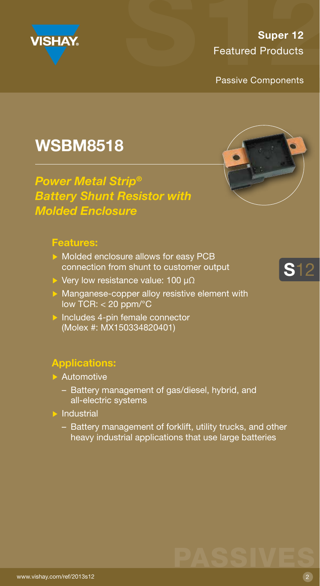<span id="page-4-0"></span>

Passive Components

### WSBM8518

*Power Metal Strip® Battery Shunt Resistor with Molded Enclosure*

#### Features:

- Molded enclosure allows for easy PCB connection from shunt to customer output
- Very low resistance value: 100 µ $\Omega$
- **Manganese-copper alloy resistive element with** low TCR:  $<$  20 ppm/ $\degree$ C
- $\triangleright$  Includes 4-pin female connector (Molex #: MX150334820401)

- **Automotive** 
	- Battery management of gas/diesel, hybrid, and all-electric systems
- $\blacktriangleright$  Industrial
	- Battery management of forklift, utility trucks, and other heavy industrial applications that use large batteries





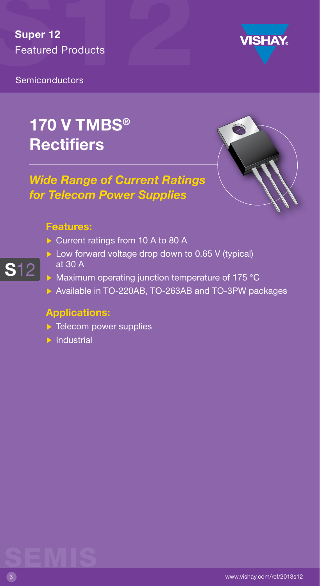

<span id="page-5-0"></span>**Semiconductors** 

## 170 V TMBS® **Rectifiers**

#### *Wide Range of Current Ratings for Telecom Power Supplies*



#### Features:

S12

- Current ratings from 10 A to 80 A
- Low forward voltage drop down to 0.65 V (typical) at 30 A
- Maximum operating junction temperature of 175 °C
- Available in TO-220AB, TO-263AB and TO-3PW packages

- $\triangleright$  Telecom power supplies
- $\blacktriangleright$  Industrial

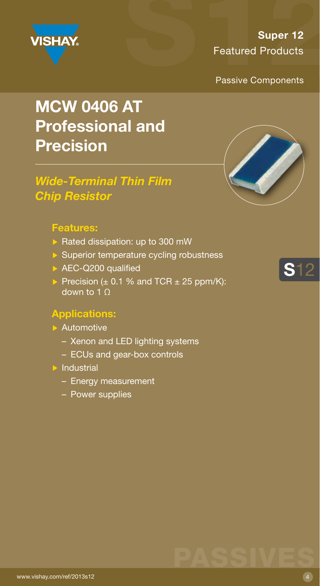<span id="page-6-0"></span>

Passive Components

## MCW 0406 AT Professional and Precision

#### *Wide-Terminal Thin Film Chip Resistor*

#### Features:

- $\triangleright$  Rated dissipation: up to 300 mW
- $\triangleright$  Superior temperature cycling robustness
- AEC-Q200 qualified
- Precision  $(\pm 0.1 \%$  and TCR  $\pm 25$  ppm/K): down to 1 Ω

#### Applications:

#### **Automotive**

- Xenon and LED lighting systems
- ECUs and gear-box controls
- $\blacktriangleright$  Industrial
	- Energy measurement
	- Power supplies





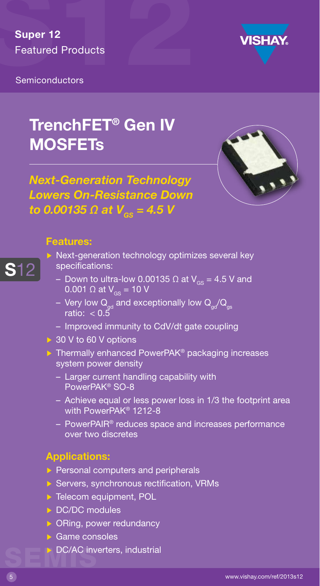<span id="page-7-0"></span>



### TrenchFET® Gen IV **MOSFETs**





#### Features:

- S12
- $\triangleright$  Next-generation technology optimizes several key specifications:
	- Down to ultra-low 0.00135  $\Omega$  at V<sub>GS</sub> = 4.5 V and 0.001 Ω at  $V_{\text{cs}} = 10$  V
	- Very low  $\mathsf{Q}_{\mathsf{gd}}$  and exceptionally low  $\mathsf{Q}_{\mathsf{gd}}\mathsf{/}\mathsf{Q}_{\mathsf{gs}}$ ratio: < 0.5
	- Improved immunity to CdV/dt gate coupling
- ▶ 30 V to 60 V options
- $\triangleright$  Thermally enhanced PowerPAK<sup>®</sup> packaging increases system power density
	- Larger current handling capability with PowerPAK® SO-8
	- Achieve equal or less power loss in 1/3 the footprint area with PowerPAK® 1212-8
	- PowerPAIR® reduces space and increases performance over two discretes

- $\triangleright$  Personal computers and peripherals
- $\triangleright$  Servers, synchronous rectification, VRMs
- ▶ Telecom equipment, POL
- DC/DC modules
- $\triangleright$  ORing, power redundancy
- ▶ Game consoles
- SEMIN DC/AC inverters, industrial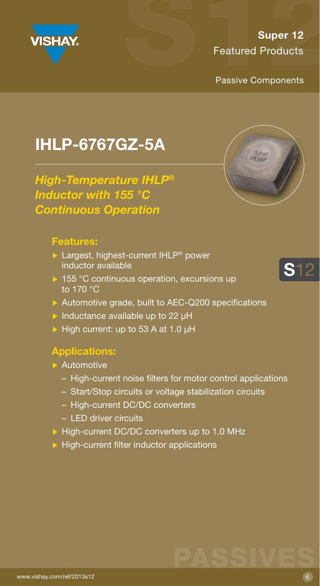<span id="page-8-0"></span>

Passive Components

 $5,6$  uh

## IHLP-6767GZ-5A

*High-Temperature IHLP® Inductor with 155 °C Continuous Operation* 

#### Features:

- **Largest, highest-current IHLP® power** inductor available
- ▶ 155 °C continuous operation, excursions up to 170 °C
- Automotive grade, built to AEC-Q200 specifications
- Inductance available up to 22  $\mu$ H
- $\triangleright$  High current: up to 53 A at 1.0 µH

#### Applications:

- **Automotive** 
	- High-current noise filters for motor control applications
	- Start/Stop circuits or voltage stabilization circuits
	- High-current DC/DC converters
	- LED driver circuits
- High-current DC/DC converters up to 1.0 MHz
- $\triangleright$  High-current filter inductor applications



## PASSIVES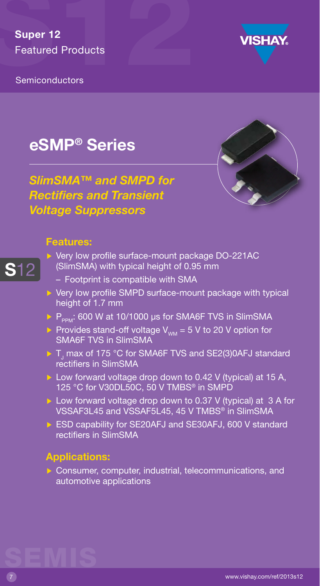<span id="page-9-0"></span>



### eSMP® Series

*SlimSMA™ and SMPD for Rectifiers and Transient Voltage Suppressors*

#### Features:

S12

- ▶ Very low profile surface-mount package DO-221AC (SlimSMA) with typical height of 0.95 mm
	- Footprint is compatible with SMA
- $\triangleright$  Very low profile SMPD surface-mount package with typical height of 1.7 mm
- $\triangleright$  P<sub>ppM</sub>: 600 W at 10/1000 µs for SMA6F TVS in SlimSMA
- Provides stand-off voltage  $V_{WM} = 5$  V to 20 V option for SMA6F TVS in SlimSMA
- ${\sf T}_{\sf j}$  max of 175 °C for SMA6F TVS and SE2(3)0AFJ standard rectifiers in SlimSMA
- $\triangleright$  Low forward voltage drop down to 0.42 V (typical) at 15 A, 125 °C for V30DL50C, 50 V TMBS® in SMPD
- Low forward voltage drop down to 0.37 V (typical) at 3 A for VSSAF3L45 and VSSAF5L45, 45 V TMBS® in SlimSMA
- ▶ ESD capability for SE20AFJ and SE30AFJ, 600 V standard rectifiers in SlimSMA

#### Applications:

 $\triangleright$  Consumer, computer, industrial, telecommunications, and automotive applications

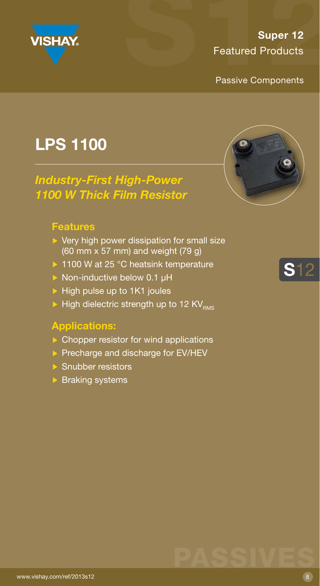<span id="page-10-0"></span>

Passive Components

## LPS 1100

#### *Industry-First High-Power 1100 W Thick Film Resistor*

#### Features

- $\triangleright$  Very high power dissipation for small size (60 mm x 57 mm) and weight (79 g)
- ▶ 1100 W at 25 °C heatsink temperature
- $\triangleright$  Non-inductive below 0.1 µH
- $\blacktriangleright$  High pulse up to 1K1 joules
- $\triangleright$  High dielectric strength up to 12 KV<sub>RMS</sub>

#### Applications:

- $\triangleright$  Chopper resistor for wind applications
- $\triangleright$  Precharge and discharge for EV/HEV
- ▶ Snubber resistors
- $\triangleright$  Braking systems



S12

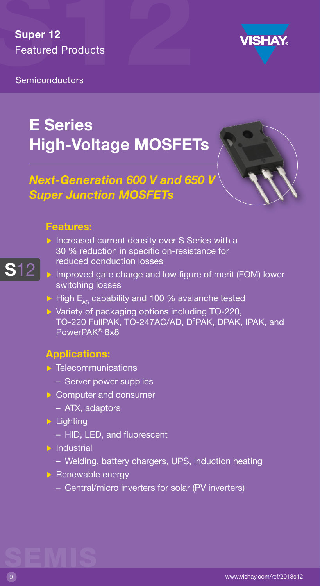

<span id="page-11-0"></span>**Semiconductors** 

## E Series High-Voltage MOSFETs

#### *Next-Generation 600 V and 650 V Super Junction MOSFETs*

#### Features:

- Increased current density over S Series with a 30 % reduction in specific on-resistance for reduced conduction losses
- S12
- Improved gate charge and low figure of merit (FOM) lower switching losses
- $\triangleright$  High E<sub>AS</sub> capability and 100 % avalanche tested
- Variety of packaging options including TO-220, TO-220 FullPAK, TO-247AC/AD, D<sup>2</sup>PAK, DPAK, IPAK, and PowerPAK® 8x8

#### Applications:

- $\blacktriangleright$  Telecommunications
	- Server power supplies
- Computer and consumer
	- ATX, adaptors
- $\blacktriangleright$  Lighting
	- HID, LED, and fluorescent
- $\overline{\triangleright}$  Industrial
	- Welding, battery chargers, UPS, induction heating
- $\triangleright$  Renewable energy
	- Central/micro inverters for solar (PV inverters)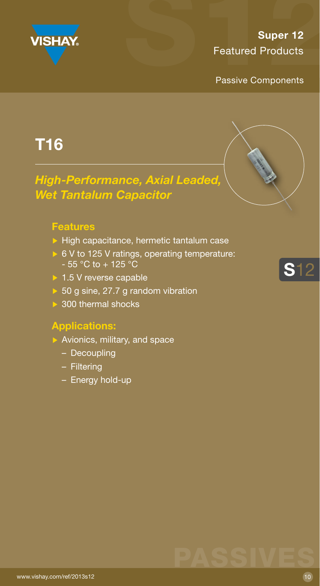<span id="page-12-0"></span>

Passive Components

### T16

#### *High-Performance, Axial Leaded, Wet Tantalum Capacitor*

#### Features

- $\triangleright$  High capacitance, hermetic tantalum case
- ▶ 6 V to 125 V ratings, operating temperature:  $-55$  °C to + 125 °C
- ▶ 1.5 V reverse capable
- ▶ 50 g sine, 27.7 g random vibration
- ▶ 300 thermal shocks

- $\triangleright$  Avionics, military, and space
	- Decoupling
	- Filtering
	- Energy hold-up



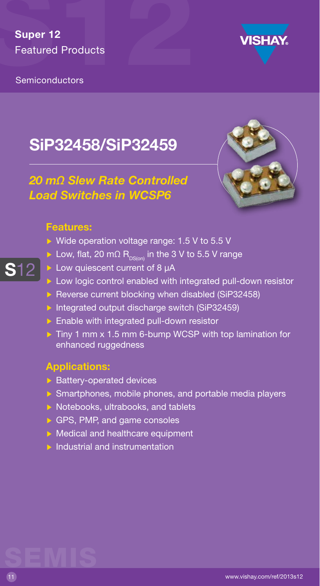<span id="page-13-0"></span>Semiconductors



## SiP32458/SiP32459

#### *20 mΩ Slew Rate Controlled Load Switches in WCSP6*



#### Features:

S12

- ▶ Wide operation voltage range: 1.5 V to 5.5 V
- Low, flat, 20 m $\Omega$  R<sub>DS(on)</sub> in the 3 V to 5.5 V range
- Low quiescent current of 8 µA
- **Low logic control enabled with integrated pull-down resistor**
- Reverse current blocking when disabled (SiP32458)
- Integrated output discharge switch (SiP32459)
- $\triangleright$  Enable with integrated pull-down resistor
- $\triangleright$  Tiny 1 mm x 1.5 mm 6-bump WCSP with top lamination for enhanced ruggedness

#### Applications:

- $\triangleright$  Battery-operated devices
- $\triangleright$  Smartphones, mobile phones, and portable media players
- $\triangleright$  Notebooks, ultrabooks, and tablets
- GPS, PMP, and game consoles
- Medical and healthcare equipment
- $\triangleright$  Industrial and instrumentation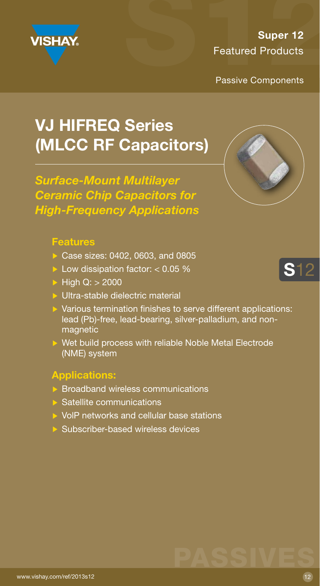<span id="page-14-0"></span>

Passive Components

## VJ HIFREQ Series (MLCC RF Capacitors)

*Surface-Mount Multilayer Ceramic Chip Capacitors for High-Frequency Applications*

#### Features

- Case sizes: 0402, 0603, and 0805
- Low dissipation factor:  $< 0.05$  %
- $\blacktriangleright$  High Q:  $>$  2000
- Ultra-stable dielectric material
- $\triangleright$  Various termination finishes to serve different applications: lead (Pb)-free, lead-bearing, silver-palladium, and nonmagnetic
- ▶ Wet build process with reliable Noble Metal Electrode (NME) system

#### Applications:

- $\triangleright$  Broadband wireless communications
- $\triangleright$  Satellite communications
- ▶ VolP networks and cellular base stations
- $\triangleright$  Subscriber-based wireless devices



S12

## PASSIVES